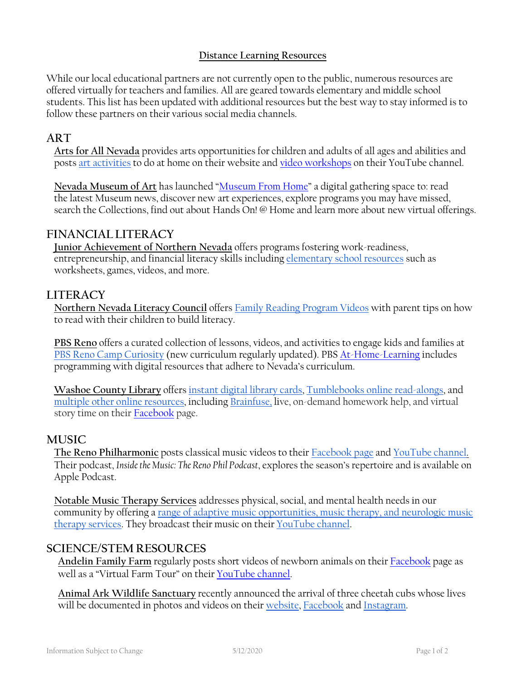### **Distance Learning Resources**

While our local educational partners are not currently open to the public, numerous resources are offered virtually for teachers and families. All are geared towards elementary and middle school students. This list has been updated with additional resources but the best way to stay informed is to follow these partners on their various social media channels.

# **ART**

**Arts for All Nevada** provides arts opportunities for children and adults of all ages and abilities and posts [art activities](https://www.artsforallnevada.org/opportunities-for-persons-with-disabilities/art-activities/) to do at home on their website and [video workshops](https://www.youtube.com/channel/UC5MssfplzHBJyvozi3_hKDg/videos) on their YouTube channel.

**Nevada Museum of Art** has launched ["Museum From Home"](https://www.nevadaart.org/museum-from-home/) a digital gathering space to: read the latest Museum news, discover new art experiences, explore programs you may have missed, search the Collections, find out about Hands On! @ Home and learn more about new virtual offerings.

## **FINANCIAL LITERACY**

**Junior Achievement of Northern Nevada** offers programs fostering work-readiness, entrepreneurship, and financial literacy skills including [elementary school resources](https://www.juniorachievement.org/web/ja-usa/elementary-school-supplements) such as worksheets, games, videos, and more.

### **LITERACY**

**Northern Nevada Literacy Council** offers [Family Reading Program Videos](http://nnlc.org/videos/) with parent tips on how to read with their children to build literacy.

**PBS Reno** offers a curated collection of lessons, videos, and activities to engage kids and families at [PBS Reno Camp Curiosity](https://knpb.pbslearningmedia.org/) (new curriculum regularly updated). PBS [At-Home-Learning](https://www.pbsreno.org/campcuriosity/at-home-learning) includes programming with digital resources that adhere to Nevada's curriculum.

**Washoe County Library** offers [instant digital library cards,](https://www.washoecountylibrary.us/outreach/2020/03/2020-03-25-lib-ebooks.php) [Tumblebooks online read-alongs,](https://www.washoecountylibrary.us/downloads/tumblebooks.php) and [multiple other online resources,](https://www.washoecountylibrary.us/resources/databases.php#t) including [Brainfuse,](https://www.washoecountylibrary.us/downloads/brainfuse.php) live, on-demand homework help, and virtual story time on thei[r Facebook](https://www.facebook.com/groups/washoevirtualstorytime/) page.

### **MUSIC**

**The Reno Philharmonic** posts classical music videos to their [Facebook page](https://www.facebook.com/RenoPhil/) and [YouTube channel.](https://www.youtube.com/results?search_query=reno+philharmonic) Their podcast, *Inside the Music: The Reno Phil Podcast*, explores the season's repertoire and is available on Apple Podcast.

**Notable Music Therapy Services** addresses physical, social, and mental health needs in our community by offering a [range of adaptive music opportunities, music therapy, and neurologic music](https://nmtsreno.org/virtual-services/)  [therapy services.](https://nmtsreno.org/virtual-services/) They broadcast their music on their [YouTube channel.](https://www.youtube.com/user/NoteAblesReno) 

## **SCIENCE/STEM RESOURCES**

**Andelin Family Farm** regularly posts short videos of newborn animals on their [Facebook](https://www.facebook.com/andelinfarm/) page as well as a "Virtual Farm Tour" on thei[r YouTube channel.](https://www.youtube.com/watch?v=C3T8r7DST-I&t=55s)

**Animal Ark Wildlife Sanctuary** recently announced the arrival of three cheetah cubs whose lives will be documented in photos and videos on thei[r website,](https://www.animalark.org/) [Facebook](https://www.facebook.com/pg/AnimalArk.Nevada/posts/?ref=page_internal) and [Instagram.](https://www.instagram.com/animalark_reno/)